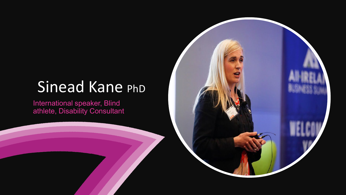## Sinead Kane PhD

International speaker, Blind athlete, Disability Consultant

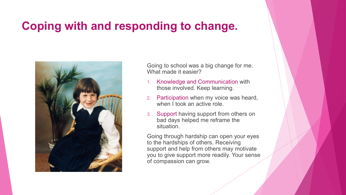#### **Coping with and responding to change.**



Going to school was a big change for me. What made it easier?

- 1. Knowledge and Communication with those involved. Keep learning.
- 2. Participation when my voice was heard, when I took an active role.
- 3. Support having support from others on bad days helped me reframe the situation.

Going through hardship can open your eyes to the hardships of others. Receiving support and help from others may motivate you to give support more readily. Your sense of compassion can grow.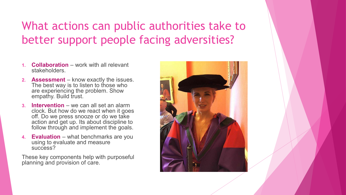#### What actions can public authorities take to better support people facing adversities?

- **1. Collaboration** work with all relevant stakeholders.
- **2. Assessment** know exactly the issues. The best way is to listen to those who are experiencing the problem. Show empathy. Build trust.
- **Intervention** we can all set an alarm clock. But how do we react when it goes off. Do we press snooze or do we take action and get up. Its about discipline to follow through and implement the goals.
- **4. Evaluation** what benchmarks are you using to evaluate and measure success?

These key components help with purposeful planning and provision of care.

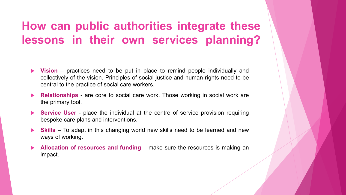#### **How can public authorities integrate these lessons in their own services planning?**

- **Vision** practices need to be put in place to remind people individually and collectively of the vision. Principles of social justice and human rights need to be central to the practice of social care workers.
- **Relationships** are core to social care work. Those working in social work are the primary tool.
- **Service User** place the individual at the centre of service provision requiring bespoke care plans and interventions.
- **Skills** To adapt in this changing world new skills need to be learned and new ways of working.
- **Allocation of resources and funding** make sure the resources is making an impact.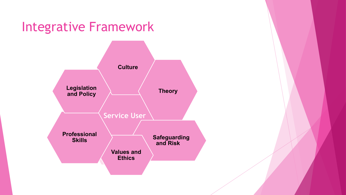### Integrative Framework **Service User Culture Theory Safeguarding and Risk Values and Ethics Professional Skills Legislation and Policy**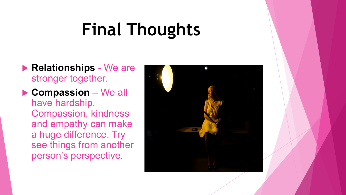# **Final Thoughts**

- **Relationships** We are stronger together.
- **Compassion** We all have hardship. Compassion, kindness and empathy can make a huge difference. Try see things from another person's perspective.